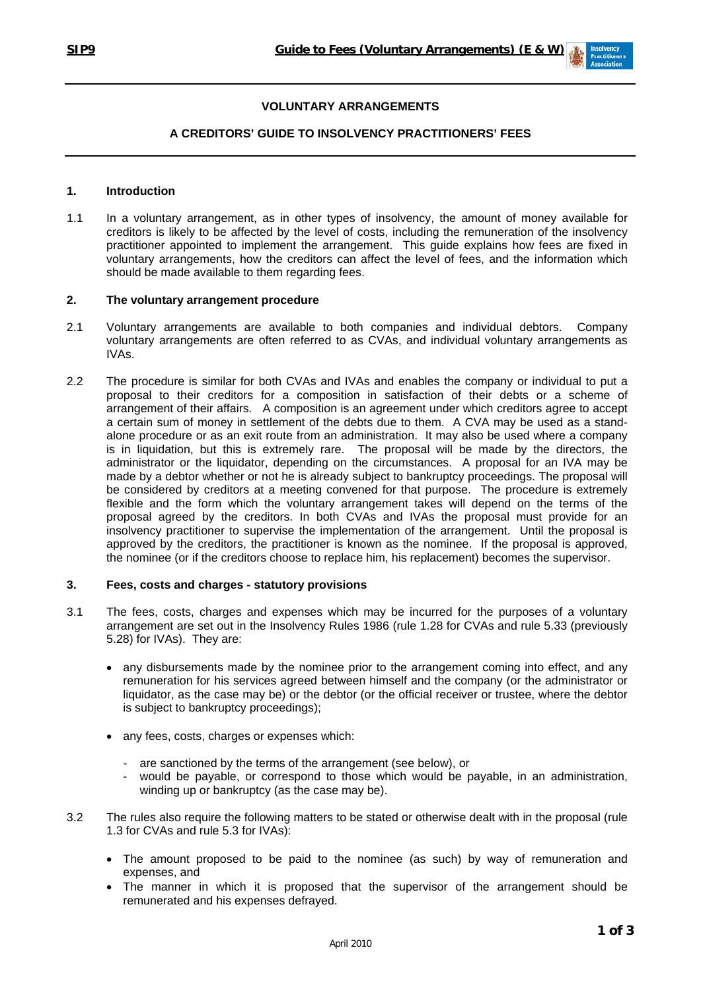

# **VOLUNTARY ARRANGEMENTS**

# **A CREDITORS' GUIDE TO INSOLVENCY PRACTITIONERS' FEES**

## **1. Introduction**

1.1 In a voluntary arrangement, as in other types of insolvency, the amount of money available for creditors is likely to be affected by the level of costs, including the remuneration of the insolvency practitioner appointed to implement the arrangement. This guide explains how fees are fixed in voluntary arrangements, how the creditors can affect the level of fees, and the information which should be made available to them regarding fees.

#### **2. The voluntary arrangement procedure**

- 2.1 Voluntary arrangements are available to both companies and individual debtors. Company voluntary arrangements are often referred to as CVAs, and individual voluntary arrangements as IVAs.
- 2.2 The procedure is similar for both CVAs and IVAs and enables the company or individual to put a proposal to their creditors for a composition in satisfaction of their debts or a scheme of arrangement of their affairs. A composition is an agreement under which creditors agree to accept a certain sum of money in settlement of the debts due to them. A CVA may be used as a standalone procedure or as an exit route from an administration. It may also be used where a company is in liquidation, but this is extremely rare. The proposal will be made by the directors, the administrator or the liquidator, depending on the circumstances. A proposal for an IVA may be made by a debtor whether or not he is already subject to bankruptcy proceedings. The proposal will be considered by creditors at a meeting convened for that purpose. The procedure is extremely flexible and the form which the voluntary arrangement takes will depend on the terms of the proposal agreed by the creditors. In both CVAs and IVAs the proposal must provide for an insolvency practitioner to supervise the implementation of the arrangement. Until the proposal is approved by the creditors, the practitioner is known as the nominee. If the proposal is approved, the nominee (or if the creditors choose to replace him, his replacement) becomes the supervisor.

## **3. Fees, costs and charges - statutory provisions**

- 3.1 The fees, costs, charges and expenses which may be incurred for the purposes of a voluntary arrangement are set out in the Insolvency Rules 1986 (rule 1.28 for CVAs and rule 5.33 (previously 5.28) for IVAs). They are:
	- any disbursements made by the nominee prior to the arrangement coming into effect, and any remuneration for his services agreed between himself and the company (or the administrator or liquidator, as the case may be) or the debtor (or the official receiver or trustee, where the debtor is subject to bankruptcy proceedings);
	- any fees, costs, charges or expenses which:
		- are sanctioned by the terms of the arrangement (see below), or
		- would be payable, or correspond to those which would be payable, in an administration, winding up or bankruptcy (as the case may be).
- 3.2 The rules also require the following matters to be stated or otherwise dealt with in the proposal (rule 1.3 for CVAs and rule 5.3 for IVAs):
	- The amount proposed to be paid to the nominee (as such) by way of remuneration and expenses, and
	- The manner in which it is proposed that the supervisor of the arrangement should be remunerated and his expenses defrayed.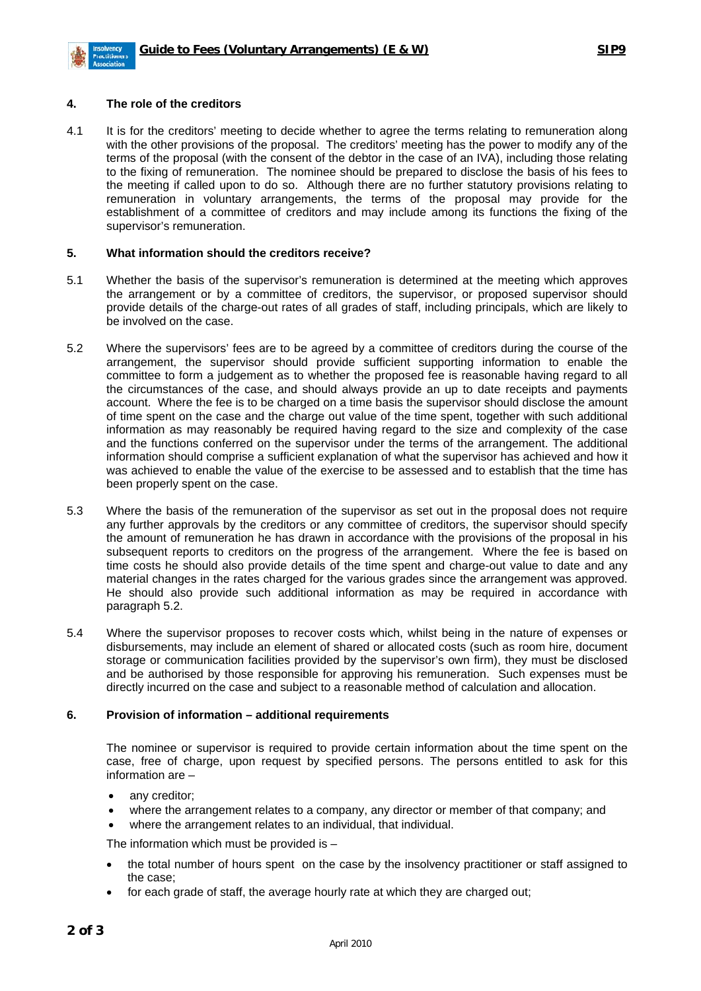

## **4. The role of the creditors**

4.1 It is for the creditors' meeting to decide whether to agree the terms relating to remuneration along with the other provisions of the proposal. The creditors' meeting has the power to modify any of the terms of the proposal (with the consent of the debtor in the case of an IVA), including those relating to the fixing of remuneration. The nominee should be prepared to disclose the basis of his fees to the meeting if called upon to do so. Although there are no further statutory provisions relating to remuneration in voluntary arrangements, the terms of the proposal may provide for the establishment of a committee of creditors and may include among its functions the fixing of the supervisor's remuneration.

## **5. What information should the creditors receive?**

- 5.1 Whether the basis of the supervisor's remuneration is determined at the meeting which approves the arrangement or by a committee of creditors, the supervisor, or proposed supervisor should provide details of the charge-out rates of all grades of staff, including principals, which are likely to be involved on the case.
- 5.2 Where the supervisors' fees are to be agreed by a committee of creditors during the course of the arrangement, the supervisor should provide sufficient supporting information to enable the committee to form a judgement as to whether the proposed fee is reasonable having regard to all the circumstances of the case, and should always provide an up to date receipts and payments account. Where the fee is to be charged on a time basis the supervisor should disclose the amount of time spent on the case and the charge out value of the time spent, together with such additional information as may reasonably be required having regard to the size and complexity of the case and the functions conferred on the supervisor under the terms of the arrangement. The additional information should comprise a sufficient explanation of what the supervisor has achieved and how it was achieved to enable the value of the exercise to be assessed and to establish that the time has been properly spent on the case.
- 5.3 Where the basis of the remuneration of the supervisor as set out in the proposal does not require any further approvals by the creditors or any committee of creditors, the supervisor should specify the amount of remuneration he has drawn in accordance with the provisions of the proposal in his subsequent reports to creditors on the progress of the arrangement. Where the fee is based on time costs he should also provide details of the time spent and charge-out value to date and any material changes in the rates charged for the various grades since the arrangement was approved. He should also provide such additional information as may be required in accordance with paragraph 5.2.
- 5.4 Where the supervisor proposes to recover costs which, whilst being in the nature of expenses or disbursements, may include an element of shared or allocated costs (such as room hire, document storage or communication facilities provided by the supervisor's own firm), they must be disclosed and be authorised by those responsible for approving his remuneration. Such expenses must be directly incurred on the case and subject to a reasonable method of calculation and allocation.

#### **6. Provision of information – additional requirements**

The nominee or supervisor is required to provide certain information about the time spent on the case, free of charge, upon request by specified persons. The persons entitled to ask for this information are –

- any creditor;
- where the arrangement relates to a company, any director or member of that company; and
- where the arrangement relates to an individual, that individual.

The information which must be provided is –

- the total number of hours spent on the case by the insolvency practitioner or staff assigned to the case;
- for each grade of staff, the average hourly rate at which they are charged out;